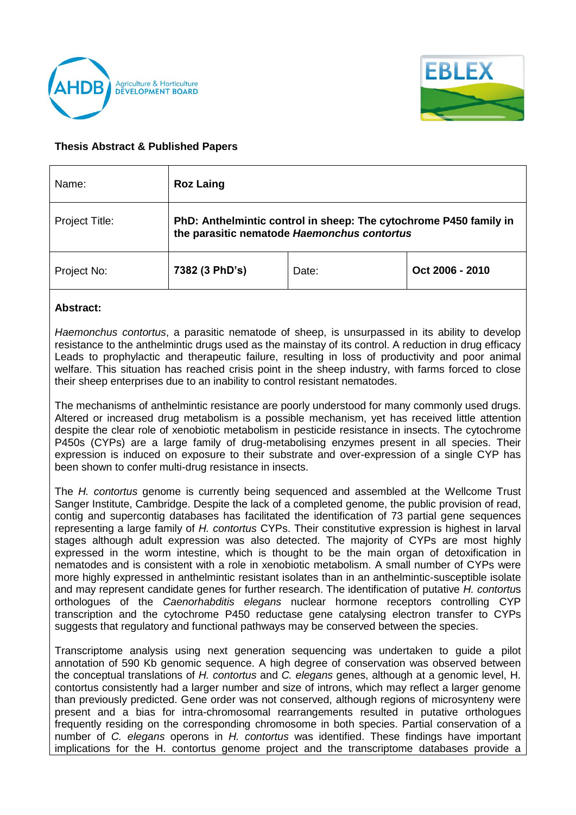



## **Thesis Abstract & Published Papers**

| Name:          | <b>Roz Laing</b>                                                                                                 |       |                 |
|----------------|------------------------------------------------------------------------------------------------------------------|-------|-----------------|
| Project Title: | PhD: Anthelmintic control in sheep: The cytochrome P450 family in<br>the parasitic nematode Haemonchus contortus |       |                 |
| Project No:    | 7382 (3 PhD's)                                                                                                   | Date: | Oct 2006 - 2010 |

## **Abstract:**

*Haemonchus contortus*, a parasitic nematode of sheep, is unsurpassed in its ability to develop resistance to the anthelmintic drugs used as the mainstay of its control. A reduction in drug efficacy Leads to prophylactic and therapeutic failure, resulting in loss of productivity and poor animal welfare. This situation has reached crisis point in the sheep industry, with farms forced to close their sheep enterprises due to an inability to control resistant nematodes.

The mechanisms of anthelmintic resistance are poorly understood for many commonly used drugs. Altered or increased drug metabolism is a possible mechanism, yet has received little attention despite the clear role of xenobiotic metabolism in pesticide resistance in insects. The cytochrome P450s (CYPs) are a large family of drug-metabolising enzymes present in all species. Their expression is induced on exposure to their substrate and over-expression of a single CYP has been shown to confer multi-drug resistance in insects.

The *H. contortus* genome is currently being sequenced and assembled at the Wellcome Trust Sanger Institute, Cambridge. Despite the lack of a completed genome, the public provision of read, contig and supercontig databases has facilitated the identification of 73 partial gene sequences representing a large family of *H. contortus* CYPs. Their constitutive expression is highest in larval stages although adult expression was also detected. The majority of CYPs are most highly expressed in the worm intestine, which is thought to be the main organ of detoxification in nematodes and is consistent with a role in xenobiotic metabolism. A small number of CYPs were more highly expressed in anthelmintic resistant isolates than in an anthelmintic-susceptible isolate and may represent candidate genes for further research. The identification of putative *H. contortu*s orthologues of the *Caenorhabditis elegans* nuclear hormone receptors controlling CYP transcription and the cytochrome P450 reductase gene catalysing electron transfer to CYPs suggests that regulatory and functional pathways may be conserved between the species.

Transcriptome analysis using next generation sequencing was undertaken to guide a pilot annotation of 590 Kb genomic sequence. A high degree of conservation was observed between the conceptual translations of *H. contortus* and *C. elegans* genes, although at a genomic level, H. contortus consistently had a larger number and size of introns, which may reflect a larger genome than previously predicted. Gene order was not conserved, although regions of microsynteny were present and a bias for intra-chromosomal rearrangements resulted in putative orthologues frequently residing on the corresponding chromosome in both species. Partial conservation of a number of *C. elegans* operons in *H. contortus* was identified. These findings have important implications for the H. contortus genome project and the transcriptome databases provide a